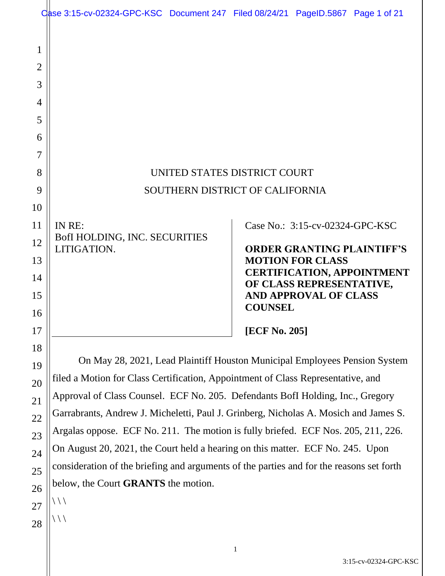|                          |                                                                                          | Case 3:15-cv-02324-GPC-KSC Document 247 Filed 08/24/21 PageID.5867 Page 1 of 21 |
|--------------------------|------------------------------------------------------------------------------------------|---------------------------------------------------------------------------------|
| 1<br>$\overline{2}$<br>3 |                                                                                          |                                                                                 |
| $\overline{4}$           |                                                                                          |                                                                                 |
| 5                        |                                                                                          |                                                                                 |
| 6                        |                                                                                          |                                                                                 |
| 7                        |                                                                                          |                                                                                 |
| 8                        |                                                                                          | UNITED STATES DISTRICT COURT                                                    |
| 9                        | SOUTHERN DISTRICT OF CALIFORNIA                                                          |                                                                                 |
| 10                       |                                                                                          |                                                                                 |
| 11                       | IN RE:                                                                                   | Case No.: 3:15-cv-02324-GPC-KSC                                                 |
| 12                       | BofI HOLDING, INC. SECURITIES<br>LITIGATION.                                             | <b>ORDER GRANTING PLAINTIFF'S</b>                                               |
| 13                       |                                                                                          | <b>MOTION FOR CLASS</b>                                                         |
| 14                       |                                                                                          | <b>CERTIFICATION, APPOINTMENT</b><br>OF CLASS REPRESENTATIVE,                   |
| 15<br>16                 |                                                                                          | <b>AND APPROVAL OF CLASS</b><br><b>COUNSEL</b>                                  |
| 17                       |                                                                                          | [ECF No. 205]                                                                   |
| 18                       |                                                                                          |                                                                                 |
| 19                       | On May 28, 2021, Lead Plaintiff Houston Municipal Employees Pension System               |                                                                                 |
| 20                       | filed a Motion for Class Certification, Appointment of Class Representative, and         |                                                                                 |
| 21                       | Approval of Class Counsel. ECF No. 205. Defendants BofI Holding, Inc., Gregory           |                                                                                 |
| 22                       | Garrabrants, Andrew J. Micheletti, Paul J. Grinberg, Nicholas A. Mosich and James S.     |                                                                                 |
| 23                       | Argalas oppose. ECF No. 211. The motion is fully briefed. ECF Nos. 205, 211, 226.        |                                                                                 |
| 24                       | On August 20, 2021, the Court held a hearing on this matter. ECF No. 245. Upon           |                                                                                 |
| 25                       | consideration of the briefing and arguments of the parties and for the reasons set forth |                                                                                 |
| 26                       | below, the Court GRANTS the motion.                                                      |                                                                                 |
| 27                       | 111                                                                                      |                                                                                 |
| 28                       | / / /                                                                                    |                                                                                 |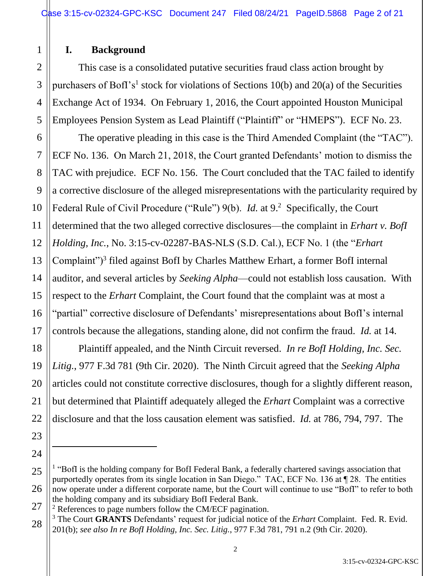# **I. Background**

1

2

3

4

5

6

7

8

9

11

12

14

15

17

18

19

20

21

22

23

24

27

This case is a consolidated putative securities fraud class action brought by purchasers of BofI's<sup>1</sup> stock for violations of Sections 10(b) and 20(a) of the Securities Exchange Act of 1934. On February 1, 2016, the Court appointed Houston Municipal Employees Pension System as Lead Plaintiff ("Plaintiff" or "HMEPS"). ECF No. 23.

10 13 16 The operative pleading in this case is the Third Amended Complaint (the "TAC"). ECF No. 136. On March 21, 2018, the Court granted Defendants' motion to dismiss the TAC with prejudice. ECF No. 156. The Court concluded that the TAC failed to identify a corrective disclosure of the alleged misrepresentations with the particularity required by Federal Rule of Civil Procedure ("Rule") 9(b). *Id.* at 9.<sup>2</sup> Specifically, the Court determined that the two alleged corrective disclosures—the complaint in *Erhart v. BofI Holding, Inc.*, No. 3:15-cv-02287-BAS-NLS (S.D. Cal.), ECF No. 1 (the "*Erhart* Complaint")<sup>3</sup> filed against BofI by Charles Matthew Erhart, a former BofI internal auditor, and several articles by *Seeking Alpha*—could not establish loss causation. With respect to the *Erhart* Complaint, the Court found that the complaint was at most a "partial" corrective disclosure of Defendants' misrepresentations about BofI's internal controls because the allegations, standing alone, did not confirm the fraud. *Id.* at 14.

Plaintiff appealed, and the Ninth Circuit reversed. *In re BofI Holding, Inc. Sec. Litig.*, 977 F.3d 781 (9th Cir. 2020). The Ninth Circuit agreed that the *Seeking Alpha* articles could not constitute corrective disclosures, though for a slightly different reason, but determined that Plaintiff adequately alleged the *Erhart* Complaint was a corrective disclosure and that the loss causation element was satisfied. *Id.* at 786, 794, 797. The

<sup>25</sup> 26 <sup>1</sup> "BofI is the holding company for BofI Federal Bank, a federally chartered savings association that purportedly operates from its single location in San Diego." TAC, ECF No. 136 at ¶ 28. The entities now operate under a different corporate name, but the Court will continue to use "BofI" to refer to both the holding company and its subsidiary BofI Federal Bank.

 $2$  References to page numbers follow the CM/ECF pagination.

<sup>28</sup> <sup>3</sup> The Court **GRANTS** Defendants' request for judicial notice of the *Erhart* Complaint. Fed. R. Evid. 201(b); *see also In re BofI Holding, Inc. Sec. Litig.*, 977 F.3d 781, 791 n.2 (9th Cir. 2020).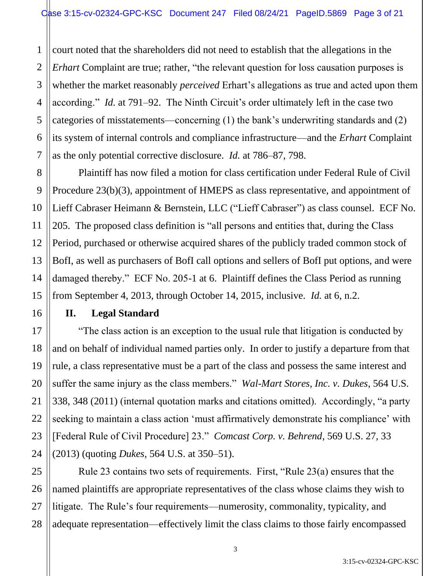1 2 court noted that the shareholders did not need to establish that the allegations in the *Erhart* Complaint are true; rather, "the relevant question for loss causation purposes is whether the market reasonably *perceived* Erhart's allegations as true and acted upon them according." *Id.* at 791–92. The Ninth Circuit's order ultimately left in the case two categories of misstatements—concerning (1) the bank's underwriting standards and (2) its system of internal controls and compliance infrastructure—and the *Erhart* Complaint as the only potential corrective disclosure. *Id.* at 786–87, 798.

Plaintiff has now filed a motion for class certification under Federal Rule of Civil Procedure 23(b)(3), appointment of HMEPS as class representative, and appointment of Lieff Cabraser Heimann & Bernstein, LLC ("Lieff Cabraser") as class counsel. ECF No. 205. The proposed class definition is "all persons and entities that, during the Class Period, purchased or otherwise acquired shares of the publicly traded common stock of BofI, as well as purchasers of BofI call options and sellers of BofI put options, and were damaged thereby." ECF No. 205-1 at 6. Plaintiff defines the Class Period as running from September 4, 2013, through October 14, 2015, inclusive. *Id.* at 6, n.2.

# **II. Legal Standard**

"The class action is an exception to the usual rule that litigation is conducted by and on behalf of individual named parties only. In order to justify a departure from that rule, a class representative must be a part of the class and possess the same interest and suffer the same injury as the class members." *Wal-Mart Stores, Inc. v. Dukes*, 564 U.S. 338, 348 (2011) (internal quotation marks and citations omitted). Accordingly, "a party seeking to maintain a class action 'must affirmatively demonstrate his compliance' with [Federal Rule of Civil Procedure] 23." *Comcast Corp. v. Behrend*, 569 U.S. 27, 33 (2013) (quoting *Dukes*, 564 U.S. at 350–51).

Rule 23 contains two sets of requirements. First, "Rule 23(a) ensures that the named plaintiffs are appropriate representatives of the class whose claims they wish to litigate. The Rule's four requirements—numerosity, commonality, typicality, and adequate representation—effectively limit the class claims to those fairly encompassed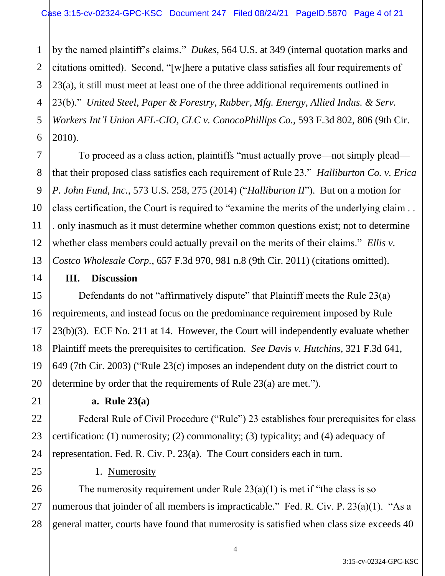1 2 by the named plaintiff's claims." *Dukes*, 564 U.S. at 349 (internal quotation marks and citations omitted). Second, "[w]here a putative class satisfies all four requirements of 23(a), it still must meet at least one of the three additional requirements outlined in 23(b)." *United Steel, Paper & Forestry, Rubber, Mfg. Energy, Allied Indus. & Serv. Workers Int'l Union AFL-CIO, CLC v. ConocoPhillips Co.*, 593 F.3d 802, 806 (9th Cir. 2010).

To proceed as a class action, plaintiffs "must actually prove—not simply plead that their proposed class satisfies each requirement of Rule 23." *Halliburton Co. v. Erica P. John Fund, Inc.*, 573 U.S. 258, 275 (2014) ("*Halliburton II*"). But on a motion for class certification, the Court is required to "examine the merits of the underlying claim . . . only inasmuch as it must determine whether common questions exist; not to determine whether class members could actually prevail on the merits of their claims." *Ellis v. Costco Wholesale Corp.*, 657 F.3d 970, 981 n.8 (9th Cir. 2011) (citations omitted).

### **III. Discussion**

Defendants do not "affirmatively dispute" that Plaintiff meets the Rule 23(a) requirements, and instead focus on the predominance requirement imposed by Rule 23(b)(3). ECF No. 211 at 14. However, the Court will independently evaluate whether Plaintiff meets the prerequisites to certification. *See Davis v. Hutchins*, 321 F.3d 641, 649 (7th Cir. 2003) ("Rule 23(c) imposes an independent duty on the district court to determine by order that the requirements of Rule 23(a) are met.").

#### **a. Rule 23(a)**

Federal Rule of Civil Procedure ("Rule") 23 establishes four prerequisites for class certification: (1) numerosity; (2) commonality; (3) typicality; and (4) adequacy of representation. Fed. R. Civ. P. 23(a). The Court considers each in turn.

# 1. Numerosity

The numerosity requirement under Rule  $23(a)(1)$  is met if "the class is so numerous that joinder of all members is impracticable." Fed. R. Civ. P. 23(a)(1). "As a general matter, courts have found that numerosity is satisfied when class size exceeds 40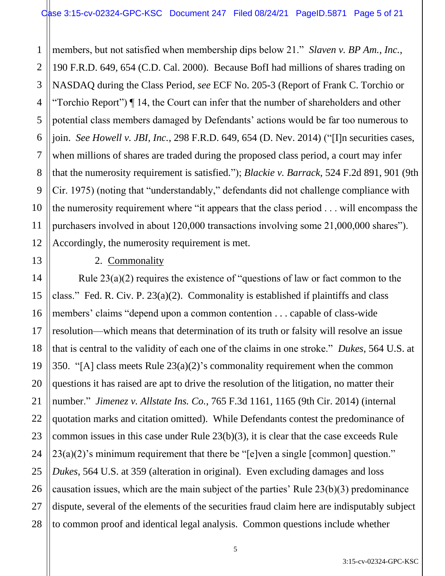1 2 3 4 5 6 7 8 9 10 members, but not satisfied when membership dips below 21." *Slaven v. BP Am., Inc.*, 190 F.R.D. 649, 654 (C.D. Cal. 2000). Because BofI had millions of shares trading on NASDAQ during the Class Period, *see* ECF No. 205-3 (Report of Frank C. Torchio or "Torchio Report") ¶ 14, the Court can infer that the number of shareholders and other potential class members damaged by Defendants' actions would be far too numerous to join. *See Howell v. JBI, Inc.*, 298 F.R.D. 649, 654 (D. Nev. 2014) ("[I]n securities cases, when millions of shares are traded during the proposed class period, a court may infer that the numerosity requirement is satisfied."); *Blackie v. Barrack*, 524 F.2d 891, 901 (9th Cir. 1975) (noting that "understandably," defendants did not challenge compliance with the numerosity requirement where "it appears that the class period . . . will encompass the purchasers involved in about 120,000 transactions involving some 21,000,000 shares"). Accordingly, the numerosity requirement is met.

#### 2. Commonality

Rule 23(a)(2) requires the existence of "questions of law or fact common to the class." Fed. R. Civ. P. 23(a)(2). Commonality is established if plaintiffs and class members' claims "depend upon a common contention . . . capable of class-wide resolution—which means that determination of its truth or falsity will resolve an issue that is central to the validity of each one of the claims in one stroke." *Dukes*, 564 U.S. at 350. "[A] class meets Rule 23(a)(2)'s commonality requirement when the common questions it has raised are apt to drive the resolution of the litigation, no matter their number." *Jimenez v. Allstate Ins. Co.*, 765 F.3d 1161, 1165 (9th Cir. 2014) (internal quotation marks and citation omitted). While Defendants contest the predominance of common issues in this case under Rule 23(b)(3), it is clear that the case exceeds Rule  $23(a)(2)$ 's minimum requirement that there be "[e]ven a single [common] question." *Dukes*, 564 U.S. at 359 (alteration in original). Even excluding damages and loss causation issues, which are the main subject of the parties' Rule 23(b)(3) predominance dispute, several of the elements of the securities fraud claim here are indisputably subject to common proof and identical legal analysis. Common questions include whether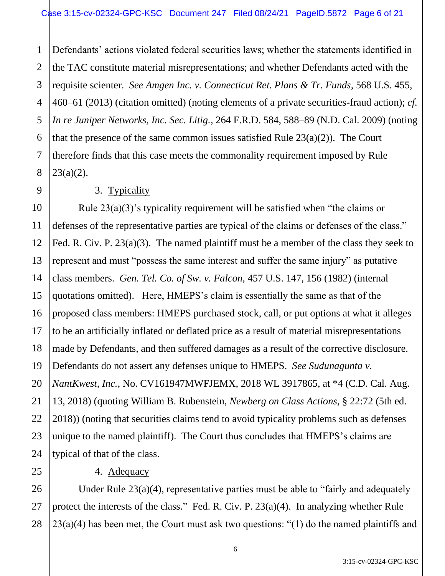1 2 3 4 5 6 7 8 Defendants' actions violated federal securities laws; whether the statements identified in the TAC constitute material misrepresentations; and whether Defendants acted with the requisite scienter. *See Amgen Inc. v. Connecticut Ret. Plans & Tr. Funds*, 568 U.S. 455, 460–61 (2013) (citation omitted) (noting elements of a private securities-fraud action); *cf. In re Juniper Networks, Inc. Sec. Litig.*, 264 F.R.D. 584, 588–89 (N.D. Cal. 2009) (noting that the presence of the same common issues satisfied Rule  $23(a)(2)$ ). The Court therefore finds that this case meets the commonality requirement imposed by Rule  $23(a)(2)$ .

### 3. Typicality

9

10

11

12

13

14

15

17

18

19

21

22

25

16 20 23 24 Rule 23(a)(3)'s typicality requirement will be satisfied when "the claims or defenses of the representative parties are typical of the claims or defenses of the class." Fed. R. Civ. P. 23(a)(3). The named plaintiff must be a member of the class they seek to represent and must "possess the same interest and suffer the same injury" as putative class members. *Gen. Tel. Co. of Sw. v. Falcon*, 457 U.S. 147, 156 (1982) (internal quotations omitted). Here, HMEPS's claim is essentially the same as that of the proposed class members: HMEPS purchased stock, call, or put options at what it alleges to be an artificially inflated or deflated price as a result of material misrepresentations made by Defendants, and then suffered damages as a result of the corrective disclosure. Defendants do not assert any defenses unique to HMEPS. *See Sudunagunta v. NantKwest, Inc.*, No. CV161947MWFJEMX, 2018 WL 3917865, at \*4 (C.D. Cal. Aug. 13, 2018) (quoting William B. Rubenstein, *Newberg on Class Actions*, § 22:72 (5th ed. 2018)) (noting that securities claims tend to avoid typicality problems such as defenses unique to the named plaintiff). The Court thus concludes that HMEPS's claims are typical of that of the class.

# 4. Adequacy

26 27 28 Under Rule 23(a)(4), representative parties must be able to "fairly and adequately protect the interests of the class." Fed. R. Civ. P. 23(a)(4). In analyzing whether Rule 23(a)(4) has been met, the Court must ask two questions: "(1) do the named plaintiffs and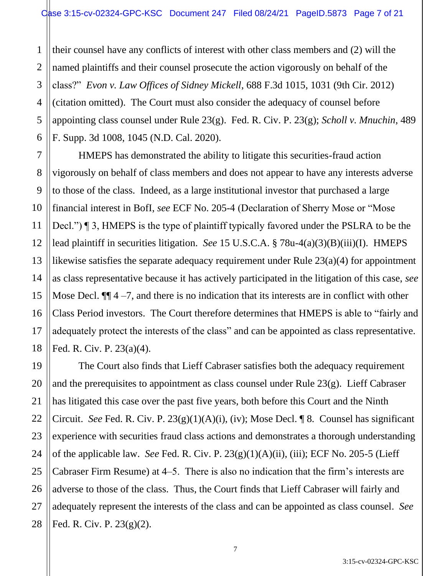1 2 3 4 5 6 their counsel have any conflicts of interest with other class members and (2) will the named plaintiffs and their counsel prosecute the action vigorously on behalf of the class?" *Evon v. Law Offices of Sidney Mickell*, 688 F.3d 1015, 1031 (9th Cir. 2012) (citation omitted). The Court must also consider the adequacy of counsel before appointing class counsel under Rule 23(g). Fed. R. Civ. P. 23(g); *Scholl v. Mnuchin*, 489 F. Supp. 3d 1008, 1045 (N.D. Cal. 2020).

7 8 9 10 12 13 14 15 16 18 HMEPS has demonstrated the ability to litigate this securities-fraud action vigorously on behalf of class members and does not appear to have any interests adverse to those of the class. Indeed, as a large institutional investor that purchased a large financial interest in BofI, *see* ECF No. 205-4 (Declaration of Sherry Mose or "Mose Decl.") ¶ 3, HMEPS is the type of plaintiff typically favored under the PSLRA to be the lead plaintiff in securities litigation. *See* 15 U.S.C.A. § 78u-4(a)(3)(B)(iii)(I). HMEPS likewise satisfies the separate adequacy requirement under Rule 23(a)(4) for appointment as class representative because it has actively participated in the litigation of this case, *see*  Mose Decl.  $\P$  4 –7, and there is no indication that its interests are in conflict with other Class Period investors. The Court therefore determines that HMEPS is able to "fairly and adequately protect the interests of the class" and can be appointed as class representative. Fed. R. Civ. P. 23(a)(4).

11

17

19 20 21 22 23 24 25 26 27 28 The Court also finds that Lieff Cabraser satisfies both the adequacy requirement and the prerequisites to appointment as class counsel under Rule 23(g). Lieff Cabraser has litigated this case over the past five years, both before this Court and the Ninth Circuit. *See* Fed. R. Civ. P. 23(g)(1)(A)(i), (iv); Mose Decl. ¶ 8. Counsel has significant experience with securities fraud class actions and demonstrates a thorough understanding of the applicable law. *See* Fed. R. Civ. P. 23(g)(1)(A)(ii), (iii); ECF No. 205-5 (Lieff Cabraser Firm Resume) at 4–5. There is also no indication that the firm's interests are adverse to those of the class. Thus, the Court finds that Lieff Cabraser will fairly and adequately represent the interests of the class and can be appointed as class counsel. *See* Fed. R. Civ. P. 23(g)(2).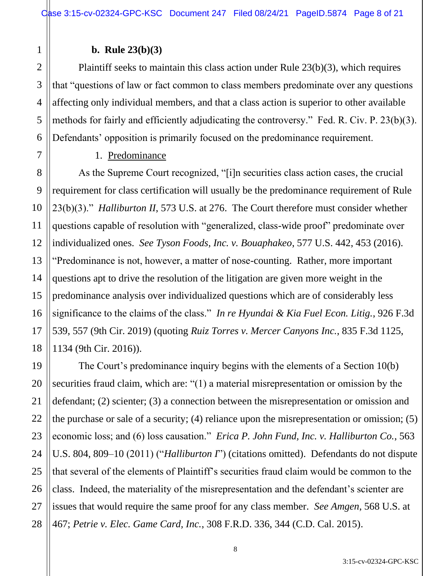### **b. Rule 23(b)(3)**

1

2

3

4

5

6

7

8

9

10

11

12

13

14

15

16

17

18

19

20

21

22

27

Plaintiff seeks to maintain this class action under Rule 23(b)(3), which requires that "questions of law or fact common to class members predominate over any questions affecting only individual members, and that a class action is superior to other available methods for fairly and efficiently adjudicating the controversy." Fed. R. Civ. P. 23(b)(3). Defendants' opposition is primarily focused on the predominance requirement.

#### 1. Predominance

As the Supreme Court recognized, "[i]n securities class action cases, the crucial requirement for class certification will usually be the predominance requirement of Rule 23(b)(3)." *Halliburton II*, 573 U.S. at 276. The Court therefore must consider whether questions capable of resolution with "generalized, class-wide proof" predominate over individualized ones. *See Tyson Foods, Inc. v. Bouaphakeo*, 577 U.S. 442, 453 (2016). "Predominance is not, however, a matter of nose-counting. Rather, more important questions apt to drive the resolution of the litigation are given more weight in the predominance analysis over individualized questions which are of considerably less significance to the claims of the class." *In re Hyundai & Kia Fuel Econ. Litig.*, 926 F.3d 539, 557 (9th Cir. 2019) (quoting *Ruiz Torres v. Mercer Canyons Inc.*, 835 F.3d 1125, 1134 (9th Cir. 2016)).

23 24 25 26 28 The Court's predominance inquiry begins with the elements of a Section 10(b) securities fraud claim, which are: "(1) a material misrepresentation or omission by the defendant; (2) scienter; (3) a connection between the misrepresentation or omission and the purchase or sale of a security; (4) reliance upon the misrepresentation or omission; (5) economic loss; and (6) loss causation." *Erica P. John Fund, Inc. v. Halliburton Co.*, 563 U.S. 804, 809–10 (2011) ("*Halliburton I*") (citations omitted). Defendants do not dispute that several of the elements of Plaintiff's securities fraud claim would be common to the class. Indeed, the materiality of the misrepresentation and the defendant's scienter are issues that would require the same proof for any class member. *See Amgen*, 568 U.S. at 467; *Petrie v. Elec. Game Card, Inc.*, 308 F.R.D. 336, 344 (C.D. Cal. 2015).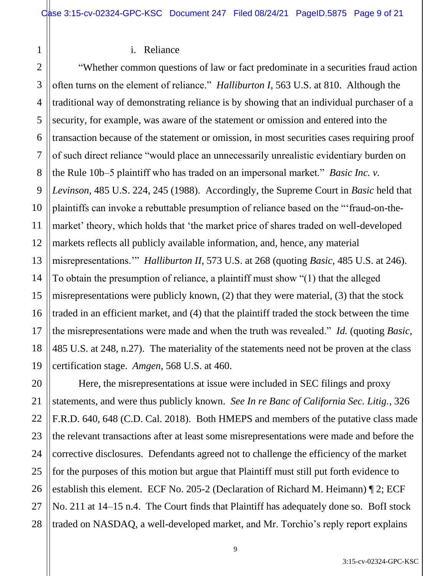#### i. Reliance

1

20

21

22

23

24

25

26

27

28

2 3 4 5 6 7 8 9 10 11 12 13 14 15 16 17 18 19 "Whether common questions of law or fact predominate in a securities fraud action often turns on the element of reliance." *Halliburton I*, 563 U.S. at 810. Although the traditional way of demonstrating reliance is by showing that an individual purchaser of a security, for example, was aware of the statement or omission and entered into the transaction because of the statement or omission, in most securities cases requiring proof of such direct reliance "would place an unnecessarily unrealistic evidentiary burden on the Rule 10b–5 plaintiff who has traded on an impersonal market." *Basic Inc. v. Levinson*, 485 U.S. 224, 245 (1988). Accordingly, the Supreme Court in *Basic* held that plaintiffs can invoke a rebuttable presumption of reliance based on the "'fraud-on-themarket' theory, which holds that 'the market price of shares traded on well-developed markets reflects all publicly available information, and, hence, any material misrepresentations.'" *Halliburton II*, 573 U.S. at 268 (quoting *Basic*, 485 U.S. at 246). To obtain the presumption of reliance, a plaintiff must show "(1) that the alleged misrepresentations were publicly known, (2) that they were material, (3) that the stock traded in an efficient market, and (4) that the plaintiff traded the stock between the time the misrepresentations were made and when the truth was revealed." *Id.* (quoting *Basic*, 485 U.S. at 248, n.27). The materiality of the statements need not be proven at the class certification stage. *Amgen*, 568 U.S. at 460.

Here, the misrepresentations at issue were included in SEC filings and proxy statements, and were thus publicly known. *See In re Banc of California Sec. Litig.*, 326 F.R.D. 640, 648 (C.D. Cal. 2018). Both HMEPS and members of the putative class made the relevant transactions after at least some misrepresentations were made and before the corrective disclosures. Defendants agreed not to challenge the efficiency of the market for the purposes of this motion but argue that Plaintiff must still put forth evidence to establish this element. ECF No. 205-2 (Declaration of Richard M. Heimann) ¶ 2; ECF No. 211 at 14–15 n.4. The Court finds that Plaintiff has adequately done so. BofI stock traded on NASDAQ, a well-developed market, and Mr. Torchio's reply report explains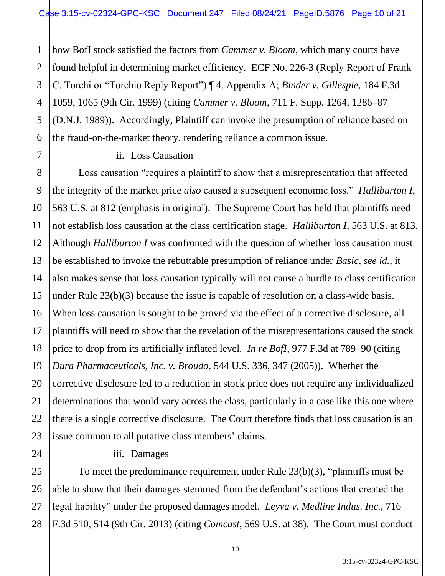1 2 3 4 5 6 how BofI stock satisfied the factors from *Cammer v. Bloom*, which many courts have found helpful in determining market efficiency. ECF No. 226-3 (Reply Report of Frank C. Torchi or "Torchio Reply Report") ¶ 4, Appendix A; *Binder v. Gillespie*, 184 F.3d 1059, 1065 (9th Cir. 1999) (citing *Cammer v. Bloom*, 711 F. Supp. 1264, 1286–87 (D.N.J. 1989)). Accordingly, Plaintiff can invoke the presumption of reliance based on the fraud-on-the-market theory, rendering reliance a common issue.

ii. Loss Causation

7

11

17

21

24

8 9 10 12 13 14 15 16 18 19 20 22 23 Loss causation "requires a plaintiff to show that a misrepresentation that affected the integrity of the market price *also* caused a subsequent economic loss." *Halliburton I*, 563 U.S. at 812 (emphasis in original). The Supreme Court has held that plaintiffs need not establish loss causation at the class certification stage. *Halliburton I*, 563 U.S. at 813. Although *Halliburton I* was confronted with the question of whether loss causation must be established to invoke the rebuttable presumption of reliance under *Basic*, *see id.*, it also makes sense that loss causation typically will not cause a hurdle to class certification under Rule 23(b)(3) because the issue is capable of resolution on a class-wide basis. When loss causation is sought to be proved via the effect of a corrective disclosure, all plaintiffs will need to show that the revelation of the misrepresentations caused the stock price to drop from its artificially inflated level. *In re BofI*, 977 F.3d at 789–90 (citing *Dura Pharmaceuticals, Inc. v. Broudo*, 544 U.S. 336, 347 (2005)). Whether the corrective disclosure led to a reduction in stock price does not require any individualized determinations that would vary across the class, particularly in a case like this one where there is a single corrective disclosure. The Court therefore finds that loss causation is an issue common to all putative class members' claims.

iii. Damages

25 26 27 28 To meet the predominance requirement under Rule 23(b)(3), "plaintiffs must be able to show that their damages stemmed from the defendant's actions that created the legal liability" under the proposed damages model. *Leyva v. Medline Indus. Inc.*, 716 F.3d 510, 514 (9th Cir. 2013) (citing *Comcast*, 569 U.S. at 38). The Court must conduct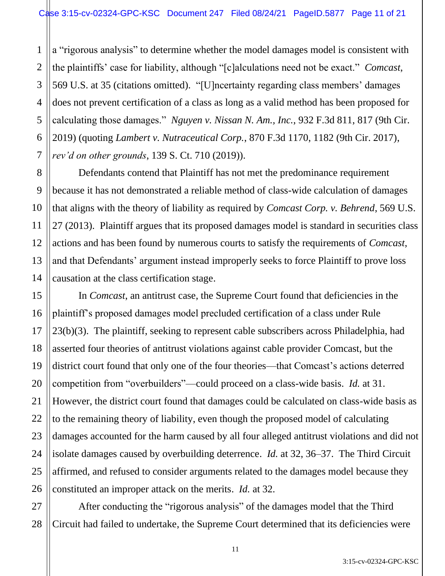1 2 3 4 5 6 7 a "rigorous analysis" to determine whether the model damages model is consistent with the plaintiffs' case for liability, although "[c]alculations need not be exact." *Comcast*, 569 U.S. at 35 (citations omitted). "[U]ncertainty regarding class members' damages does not prevent certification of a class as long as a valid method has been proposed for calculating those damages." *Nguyen v. Nissan N. Am., Inc.*, 932 F.3d 811, 817 (9th Cir. 2019) (quoting *Lambert v. Nutraceutical Corp.*, 870 F.3d 1170, 1182 (9th Cir. 2017), *rev'd on other grounds*, 139 S. Ct. 710 (2019)).

8

9

10

11

12

13

14

15

16

17

18

19

20

21

22

23

24

25

26

Defendants contend that Plaintiff has not met the predominance requirement because it has not demonstrated a reliable method of class-wide calculation of damages that aligns with the theory of liability as required by *Comcast Corp. v. Behrend*, 569 U.S. 27 (2013). Plaintiff argues that its proposed damages model is standard in securities class actions and has been found by numerous courts to satisfy the requirements of *Comcast*, and that Defendants' argument instead improperly seeks to force Plaintiff to prove loss causation at the class certification stage.

In *Comcast*, an antitrust case, the Supreme Court found that deficiencies in the plaintiff's proposed damages model precluded certification of a class under Rule 23(b)(3). The plaintiff, seeking to represent cable subscribers across Philadelphia, had asserted four theories of antitrust violations against cable provider Comcast, but the district court found that only one of the four theories—that Comcast's actions deterred competition from "overbuilders"—could proceed on a class-wide basis. *Id.* at 31. However, the district court found that damages could be calculated on class-wide basis as to the remaining theory of liability, even though the proposed model of calculating damages accounted for the harm caused by all four alleged antitrust violations and did not isolate damages caused by overbuilding deterrence. *Id.* at 32, 36–37. The Third Circuit affirmed, and refused to consider arguments related to the damages model because they constituted an improper attack on the merits. *Id.* at 32.

27 28 After conducting the "rigorous analysis" of the damages model that the Third Circuit had failed to undertake, the Supreme Court determined that its deficiencies were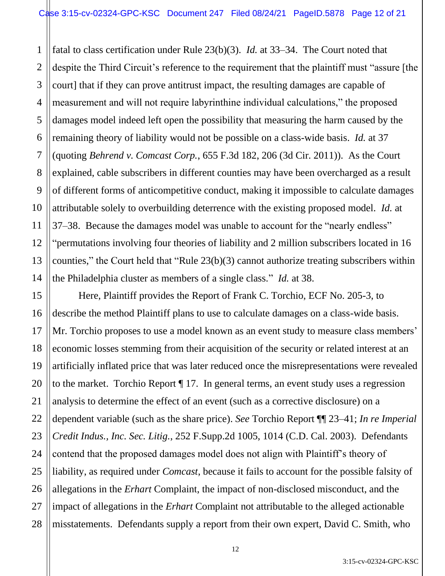1 2 3 4 5 6 7 8 9 10 11 12 13 14 fatal to class certification under Rule 23(b)(3). *Id.* at 33–34. The Court noted that despite the Third Circuit's reference to the requirement that the plaintiff must "assure [the court] that if they can prove antitrust impact, the resulting damages are capable of measurement and will not require labyrinthine individual calculations," the proposed damages model indeed left open the possibility that measuring the harm caused by the remaining theory of liability would not be possible on a class-wide basis. *Id.* at 37 (quoting *Behrend v. Comcast Corp.*, 655 F.3d 182, 206 (3d Cir. 2011)). As the Court explained, cable subscribers in different counties may have been overcharged as a result of different forms of anticompetitive conduct, making it impossible to calculate damages attributable solely to overbuilding deterrence with the existing proposed model. *Id.* at 37–38. Because the damages model was unable to account for the "nearly endless" "permutations involving four theories of liability and 2 million subscribers located in 16 counties," the Court held that "Rule 23(b)(3) cannot authorize treating subscribers within the Philadelphia cluster as members of a single class." *Id.* at 38.

Here, Plaintiff provides the Report of Frank C. Torchio, ECF No. 205-3, to describe the method Plaintiff plans to use to calculate damages on a class-wide basis. Mr. Torchio proposes to use a model known as an event study to measure class members' economic losses stemming from their acquisition of the security or related interest at an artificially inflated price that was later reduced once the misrepresentations were revealed to the market. Torchio Report ¶ 17. In general terms, an event study uses a regression analysis to determine the effect of an event (such as a corrective disclosure) on a dependent variable (such as the share price). *See* Torchio Report ¶¶ 23–41; *In re Imperial Credit Indus., Inc. Sec. Litig.*, 252 F.Supp.2d 1005, 1014 (C.D. Cal. 2003). Defendants contend that the proposed damages model does not align with Plaintiff's theory of liability, as required under *Comcast*, because it fails to account for the possible falsity of allegations in the *Erhart* Complaint, the impact of non-disclosed misconduct, and the impact of allegations in the *Erhart* Complaint not attributable to the alleged actionable misstatements. Defendants supply a report from their own expert, David C. Smith, who

15

16

17

18

19

20

21

22

23

24

25

26

27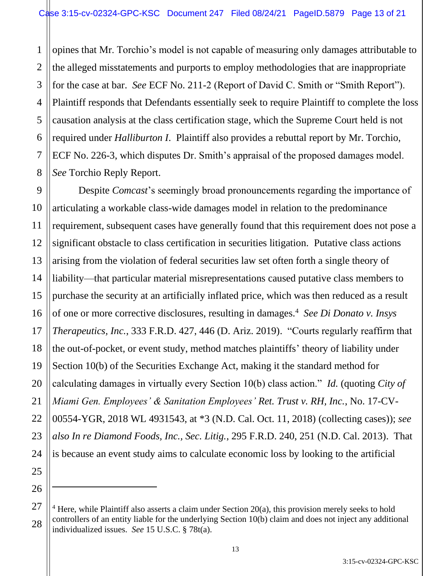1 2 3 4 5 6 7 8 opines that Mr. Torchio's model is not capable of measuring only damages attributable to the alleged misstatements and purports to employ methodologies that are inappropriate for the case at bar. *See* ECF No. 211-2 (Report of David C. Smith or "Smith Report"). Plaintiff responds that Defendants essentially seek to require Plaintiff to complete the loss causation analysis at the class certification stage, which the Supreme Court held is not required under *Halliburton I*. Plaintiff also provides a rebuttal report by Mr. Torchio, ECF No. 226-3, which disputes Dr. Smith's appraisal of the proposed damages model. *See* Torchio Reply Report.

9 10 11 12 13 14 15 16 17 18 19 20 21 22 23 24 Despite *Comcast*'s seemingly broad pronouncements regarding the importance of articulating a workable class-wide damages model in relation to the predominance requirement, subsequent cases have generally found that this requirement does not pose a significant obstacle to class certification in securities litigation. Putative class actions arising from the violation of federal securities law set often forth a single theory of liability—that particular material misrepresentations caused putative class members to purchase the security at an artificially inflated price, which was then reduced as a result of one or more corrective disclosures, resulting in damages.<sup>4</sup> *See Di Donato v. Insys Therapeutics, Inc.*, 333 F.R.D. 427, 446 (D. Ariz. 2019). "Courts regularly reaffirm that the out-of-pocket, or event study, method matches plaintiffs' theory of liability under Section 10(b) of the Securities Exchange Act, making it the standard method for calculating damages in virtually every Section 10(b) class action." *Id.* (quoting *City of Miami Gen. Employees' & Sanitation Employees' Ret. Trust v. RH, Inc.*, No. 17-CV-00554-YGR, 2018 WL 4931543, at \*3 (N.D. Cal. Oct. 11, 2018) (collecting cases)); *see also In re Diamond Foods, Inc., Sec. Litig.*, 295 F.R.D. 240, 251 (N.D. Cal. 2013). That is because an event study aims to calculate economic loss by looking to the artificial

25

26

<sup>28</sup>  $4$  Here, while Plaintiff also asserts a claim under Section 20(a), this provision merely seeks to hold controllers of an entity liable for the underlying Section 10(b) claim and does not inject any additional individualized issues. *See* 15 U.S.C. § 78t(a).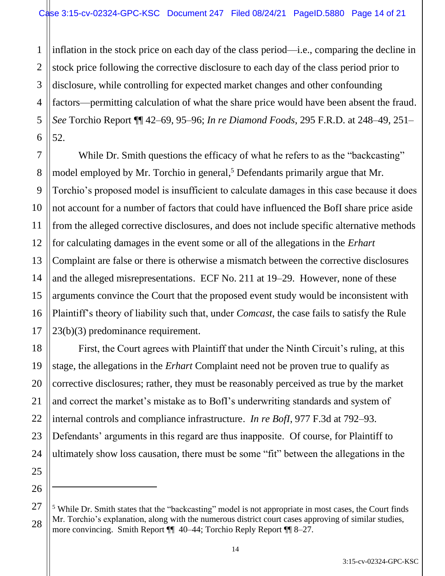1 2 3 4 5 6 inflation in the stock price on each day of the class period—i.e., comparing the decline in stock price following the corrective disclosure to each day of the class period prior to disclosure, while controlling for expected market changes and other confounding factors—permitting calculation of what the share price would have been absent the fraud. *See* Torchio Report ¶¶ 42–69, 95–96; *In re Diamond Foods*, 295 F.R.D. at 248–49, 251– 52.

7 8 9 10 11 12 13 14 15 16 17 While Dr. Smith questions the efficacy of what he refers to as the "backcasting" model employed by Mr. Torchio in general, <sup>5</sup> Defendants primarily argue that Mr. Torchio's proposed model is insufficient to calculate damages in this case because it does not account for a number of factors that could have influenced the BofI share price aside from the alleged corrective disclosures, and does not include specific alternative methods for calculating damages in the event some or all of the allegations in the *Erhart* Complaint are false or there is otherwise a mismatch between the corrective disclosures and the alleged misrepresentations. ECF No. 211 at 19–29. However, none of these arguments convince the Court that the proposed event study would be inconsistent with Plaintiff's theory of liability such that, under *Comcast*, the case fails to satisfy the Rule 23(b)(3) predominance requirement.

18 20 24 First, the Court agrees with Plaintiff that under the Ninth Circuit's ruling, at this stage, the allegations in the *Erhart* Complaint need not be proven true to qualify as corrective disclosures; rather, they must be reasonably perceived as true by the market and correct the market's mistake as to BofI's underwriting standards and system of internal controls and compliance infrastructure. *In re BofI*, 977 F.3d at 792–93. Defendants' arguments in this regard are thus inapposite. Of course, for Plaintiff to ultimately show loss causation, there must be some "fit" between the allegations in the

19

21

22

23

25

26

27

<sup>&</sup>lt;sup>5</sup> While Dr. Smith states that the "backcasting" model is not appropriate in most cases, the Court finds Mr. Torchio's explanation, along with the numerous district court cases approving of similar studies, more convincing. Smith Report  $\P$  40–44; Torchio Reply Report  $\P$  8–27.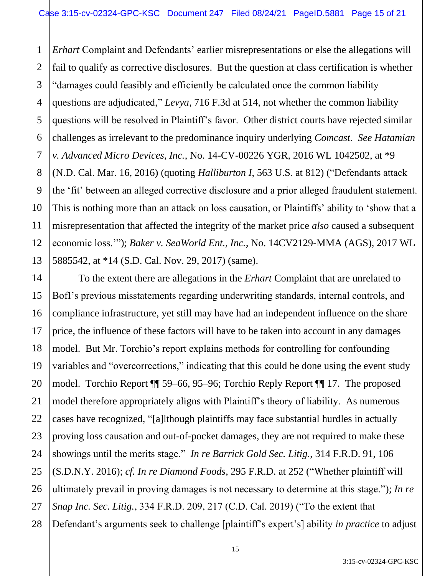1 2 3 4 5 6 7 8 9 10 11 12 13 *Erhart* Complaint and Defendants' earlier misrepresentations or else the allegations will fail to qualify as corrective disclosures. But the question at class certification is whether "damages could feasibly and efficiently be calculated once the common liability questions are adjudicated," *Levya*, 716 F.3d at 514, not whether the common liability questions will be resolved in Plaintiff's favor. Other district courts have rejected similar challenges as irrelevant to the predominance inquiry underlying *Comcast*. *See Hatamian v. Advanced Micro Devices, Inc.*, No. 14-CV-00226 YGR, 2016 WL 1042502, at \*9 (N.D. Cal. Mar. 16, 2016) (quoting *Halliburton I*, 563 U.S. at 812) ("Defendants attack the 'fit' between an alleged corrective disclosure and a prior alleged fraudulent statement. This is nothing more than an attack on loss causation, or Plaintiffs' ability to 'show that a misrepresentation that affected the integrity of the market price *also* caused a subsequent economic loss.'"); *Baker v. SeaWorld Ent., Inc.*, No. 14CV2129-MMA (AGS), 2017 WL 5885542, at \*14 (S.D. Cal. Nov. 29, 2017) (same).

14 15 16 18 19 20 22 23 24 25 26 27 28 To the extent there are allegations in the *Erhart* Complaint that are unrelated to BofI's previous misstatements regarding underwriting standards, internal controls, and compliance infrastructure, yet still may have had an independent influence on the share price, the influence of these factors will have to be taken into account in any damages model. But Mr. Torchio's report explains methods for controlling for confounding variables and "overcorrections," indicating that this could be done using the event study model. Torchio Report ¶¶ 59–66, 95–96; Torchio Reply Report ¶¶ 17. The proposed model therefore appropriately aligns with Plaintiff's theory of liability. As numerous cases have recognized, "[a]lthough plaintiffs may face substantial hurdles in actually proving loss causation and out-of-pocket damages, they are not required to make these showings until the merits stage." *In re Barrick Gold Sec. Litig.*, 314 F.R.D. 91, 106 (S.D.N.Y. 2016); *cf. In re Diamond Foods*, 295 F.R.D. at 252 ("Whether plaintiff will ultimately prevail in proving damages is not necessary to determine at this stage."); *In re Snap Inc. Sec. Litig.*, 334 F.R.D. 209, 217 (C.D. Cal. 2019) ("To the extent that Defendant's arguments seek to challenge [plaintiff's expert's] ability *in practice* to adjust

17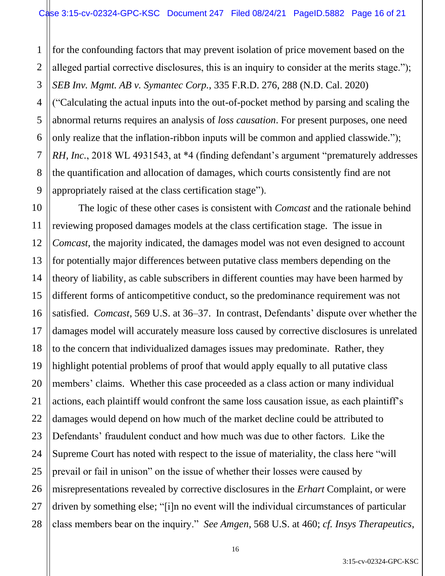1 2 3 4 5 6 7 8 9 for the confounding factors that may prevent isolation of price movement based on the alleged partial corrective disclosures, this is an inquiry to consider at the merits stage."); *SEB Inv. Mgmt. AB v. Symantec Corp.*, 335 F.R.D. 276, 288 (N.D. Cal. 2020) ("Calculating the actual inputs into the out-of-pocket method by parsing and scaling the abnormal returns requires an analysis of *loss causation*. For present purposes, one need only realize that the inflation-ribbon inputs will be common and applied classwide."); *RH, Inc.*, 2018 WL 4931543, at \*4 (finding defendant's argument "prematurely addresses the quantification and allocation of damages, which courts consistently find are not appropriately raised at the class certification stage").

10 11 12 13 14 15 16 17 18 19 20 21 22 23 24 25 26 27 28 The logic of these other cases is consistent with *Comcast* and the rationale behind reviewing proposed damages models at the class certification stage. The issue in *Comcast*, the majority indicated, the damages model was not even designed to account for potentially major differences between putative class members depending on the theory of liability, as cable subscribers in different counties may have been harmed by different forms of anticompetitive conduct, so the predominance requirement was not satisfied. *Comcast*, 569 U.S. at 36–37. In contrast, Defendants' dispute over whether the damages model will accurately measure loss caused by corrective disclosures is unrelated to the concern that individualized damages issues may predominate. Rather, they highlight potential problems of proof that would apply equally to all putative class members' claims. Whether this case proceeded as a class action or many individual actions, each plaintiff would confront the same loss causation issue, as each plaintiff's damages would depend on how much of the market decline could be attributed to Defendants' fraudulent conduct and how much was due to other factors. Like the Supreme Court has noted with respect to the issue of materiality, the class here "will prevail or fail in unison" on the issue of whether their losses were caused by misrepresentations revealed by corrective disclosures in the *Erhart* Complaint, or were driven by something else; "[i]n no event will the individual circumstances of particular class members bear on the inquiry." *See Amgen*, 568 U.S. at 460; *cf. Insys Therapeutics*,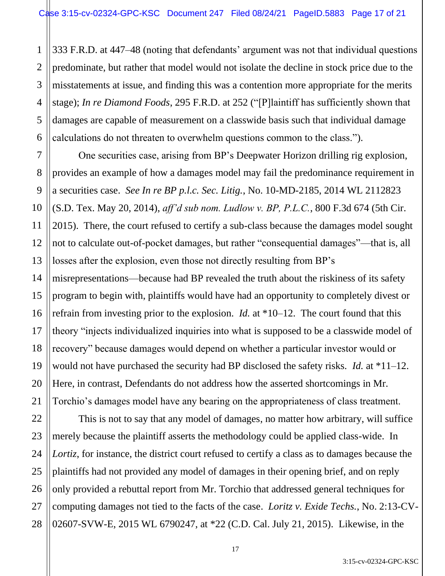1 2 3 4 5 6 333 F.R.D. at 447–48 (noting that defendants' argument was not that individual questions predominate, but rather that model would not isolate the decline in stock price due to the misstatements at issue, and finding this was a contention more appropriate for the merits stage); *In re Diamond Foods*, 295 F.R.D. at 252 ("[P]laintiff has sufficiently shown that damages are capable of measurement on a classwide basis such that individual damage calculations do not threaten to overwhelm questions common to the class.").

7 8 9 10 12 13 14 15 16 18 19 20 One securities case, arising from BP's Deepwater Horizon drilling rig explosion, provides an example of how a damages model may fail the predominance requirement in a securities case. *See In re BP p.l.c. Sec. Litig.*, No. 10-MD-2185, 2014 WL 2112823 (S.D. Tex. May 20, 2014), *aff'd sub nom. Ludlow v. BP, P.L.C.*, 800 F.3d 674 (5th Cir. 2015). There, the court refused to certify a sub-class because the damages model sought not to calculate out-of-pocket damages, but rather "consequential damages"—that is, all losses after the explosion, even those not directly resulting from BP's misrepresentations—because had BP revealed the truth about the riskiness of its safety program to begin with, plaintiffs would have had an opportunity to completely divest or refrain from investing prior to the explosion. *Id.* at \*10–12. The court found that this theory "injects individualized inquiries into what is supposed to be a classwide model of recovery" because damages would depend on whether a particular investor would or would not have purchased the security had BP disclosed the safety risks. *Id.* at \*11–12. Here, in contrast, Defendants do not address how the asserted shortcomings in Mr. Torchio's damages model have any bearing on the appropriateness of class treatment.

11

17

21

22 23 24 25 26 27 28 This is not to say that any model of damages, no matter how arbitrary, will suffice merely because the plaintiff asserts the methodology could be applied class-wide. In *Lortiz*, for instance, the district court refused to certify a class as to damages because the plaintiffs had not provided any model of damages in their opening brief, and on reply only provided a rebuttal report from Mr. Torchio that addressed general techniques for computing damages not tied to the facts of the case. *Loritz v. Exide Techs.*, No. 2:13-CV-02607-SVW-E, 2015 WL 6790247, at \*22 (C.D. Cal. July 21, 2015). Likewise, in the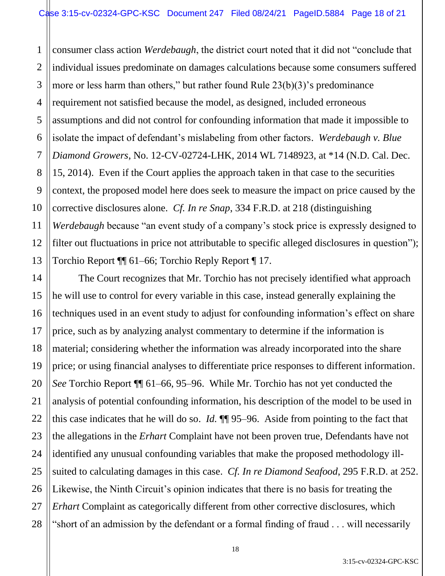1 2 3 4 5 6 7 8 9 10 11 12 13 consumer class action *Werdebaugh*, the district court noted that it did not "conclude that individual issues predominate on damages calculations because some consumers suffered more or less harm than others," but rather found Rule 23(b)(3)'s predominance requirement not satisfied because the model, as designed, included erroneous assumptions and did not control for confounding information that made it impossible to isolate the impact of defendant's mislabeling from other factors. *Werdebaugh v. Blue Diamond Growers*, No. 12-CV-02724-LHK, 2014 WL 7148923, at \*14 (N.D. Cal. Dec. 15, 2014). Even if the Court applies the approach taken in that case to the securities context, the proposed model here does seek to measure the impact on price caused by the corrective disclosures alone. *Cf. In re Snap*, 334 F.R.D. at 218 (distinguishing *Werdebaugh* because "an event study of a company's stock price is expressly designed to filter out fluctuations in price not attributable to specific alleged disclosures in question"); Torchio Report ¶¶ 61–66; Torchio Reply Report ¶ 17.

14 15 16 18 19 20 22 23 24 25 26 27 28 The Court recognizes that Mr. Torchio has not precisely identified what approach he will use to control for every variable in this case, instead generally explaining the techniques used in an event study to adjust for confounding information's effect on share price, such as by analyzing analyst commentary to determine if the information is material; considering whether the information was already incorporated into the share price; or using financial analyses to differentiate price responses to different information. *See* Torchio Report ¶¶ 61–66, 95–96. While Mr. Torchio has not yet conducted the analysis of potential confounding information, his description of the model to be used in this case indicates that he will do so. *Id.* ¶¶ 95–96. Aside from pointing to the fact that the allegations in the *Erhart* Complaint have not been proven true, Defendants have not identified any unusual confounding variables that make the proposed methodology illsuited to calculating damages in this case. *Cf. In re Diamond Seafood*, 295 F.R.D. at 252. Likewise, the Ninth Circuit's opinion indicates that there is no basis for treating the *Erhart* Complaint as categorically different from other corrective disclosures, which "short of an admission by the defendant or a formal finding of fraud . . . will necessarily

17

21

3:15-cv-02324-GPC-KSC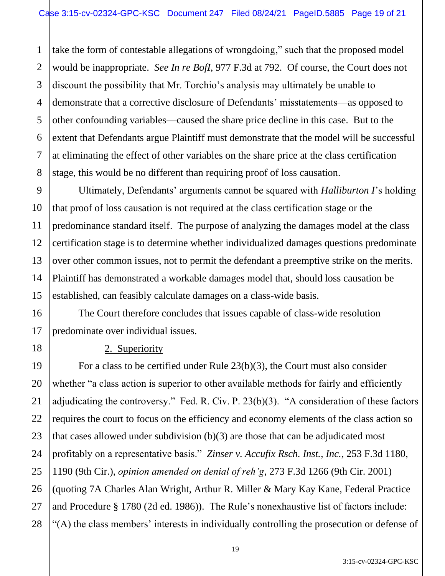1 2 3 take the form of contestable allegations of wrongdoing," such that the proposed model would be inappropriate. *See In re BofI*, 977 F.3d at 792. Of course, the Court does not discount the possibility that Mr. Torchio's analysis may ultimately be unable to demonstrate that a corrective disclosure of Defendants' misstatements—as opposed to other confounding variables—caused the share price decline in this case. But to the extent that Defendants argue Plaintiff must demonstrate that the model will be successful at eliminating the effect of other variables on the share price at the class certification stage, this would be no different than requiring proof of loss causation.

Ultimately, Defendants' arguments cannot be squared with *Halliburton I*'s holding that proof of loss causation is not required at the class certification stage or the predominance standard itself. The purpose of analyzing the damages model at the class certification stage is to determine whether individualized damages questions predominate over other common issues, not to permit the defendant a preemptive strike on the merits. Plaintiff has demonstrated a workable damages model that, should loss causation be established, can feasibly calculate damages on a class-wide basis.

The Court therefore concludes that issues capable of class-wide resolution predominate over individual issues.

#### 2. Superiority

For a class to be certified under Rule 23(b)(3), the Court must also consider whether "a class action is superior to other available methods for fairly and efficiently adjudicating the controversy." Fed. R. Civ. P. 23(b)(3). "A consideration of these factors requires the court to focus on the efficiency and economy elements of the class action so that cases allowed under subdivision (b)(3) are those that can be adjudicated most profitably on a representative basis." *Zinser v. Accufix Rsch. Inst., Inc.*, 253 F.3d 1180, 1190 (9th Cir.), *opinion amended on denial of reh'g*, 273 F.3d 1266 (9th Cir. 2001) (quoting 7A Charles Alan Wright, Arthur R. Miller & Mary Kay Kane, Federal Practice and Procedure § 1780 (2d ed. 1986)). The Rule's nonexhaustive list of factors include: "(A) the class members' interests in individually controlling the prosecution or defense of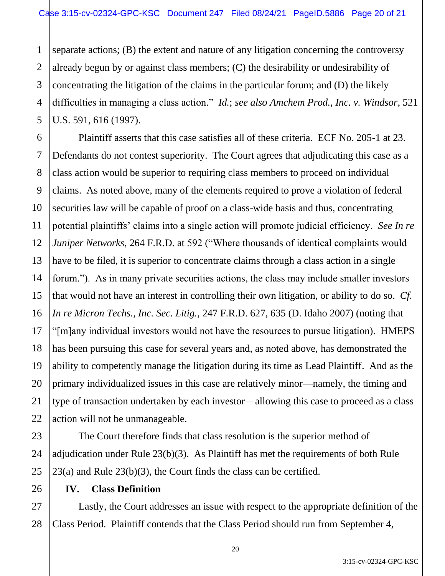1 2 3 4 5 separate actions; (B) the extent and nature of any litigation concerning the controversy already begun by or against class members; (C) the desirability or undesirability of concentrating the litigation of the claims in the particular forum; and (D) the likely difficulties in managing a class action." *Id.*; *see also Amchem Prod., Inc. v. Windsor*, 521 U.S. 591, 616 (1997).

6 7 8 9 10 11 12 13 14 15 16 17 18 19 20 21 22 Plaintiff asserts that this case satisfies all of these criteria. ECF No. 205-1 at 23. Defendants do not contest superiority. The Court agrees that adjudicating this case as a class action would be superior to requiring class members to proceed on individual claims. As noted above, many of the elements required to prove a violation of federal securities law will be capable of proof on a class-wide basis and thus, concentrating potential plaintiffs' claims into a single action will promote judicial efficiency. *See In re Juniper Networks*, 264 F.R.D. at 592 ("Where thousands of identical complaints would have to be filed, it is superior to concentrate claims through a class action in a single forum."). As in many private securities actions, the class may include smaller investors that would not have an interest in controlling their own litigation, or ability to do so. *Cf. In re Micron Techs., Inc. Sec. Litig.*, 247 F.R.D. 627, 635 (D. Idaho 2007) (noting that "[m]any individual investors would not have the resources to pursue litigation). HMEPS has been pursuing this case for several years and, as noted above, has demonstrated the ability to competently manage the litigation during its time as Lead Plaintiff. And as the primary individualized issues in this case are relatively minor—namely, the timing and type of transaction undertaken by each investor—allowing this case to proceed as a class action will not be unmanageable.

23 24 25 The Court therefore finds that class resolution is the superior method of adjudication under Rule 23(b)(3). As Plaintiff has met the requirements of both Rule 23(a) and Rule 23(b)(3), the Court finds the class can be certified.

**IV. Class Definition**

26

27 28 Lastly, the Court addresses an issue with respect to the appropriate definition of the Class Period. Plaintiff contends that the Class Period should run from September 4,